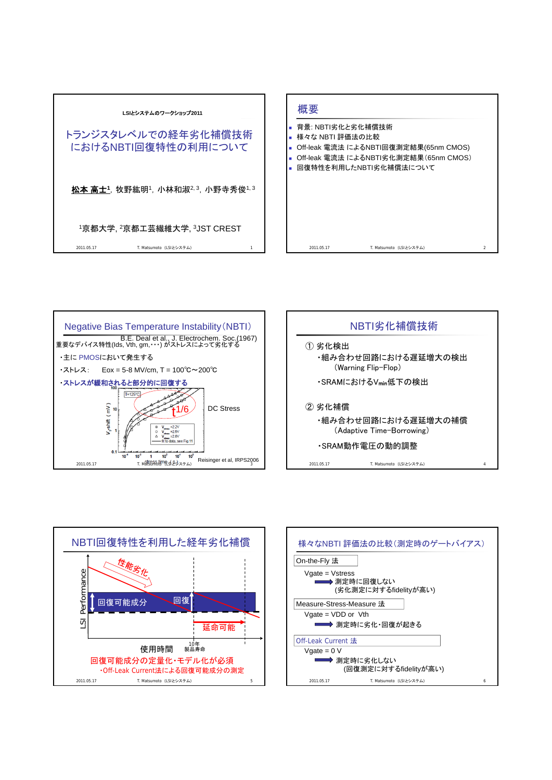









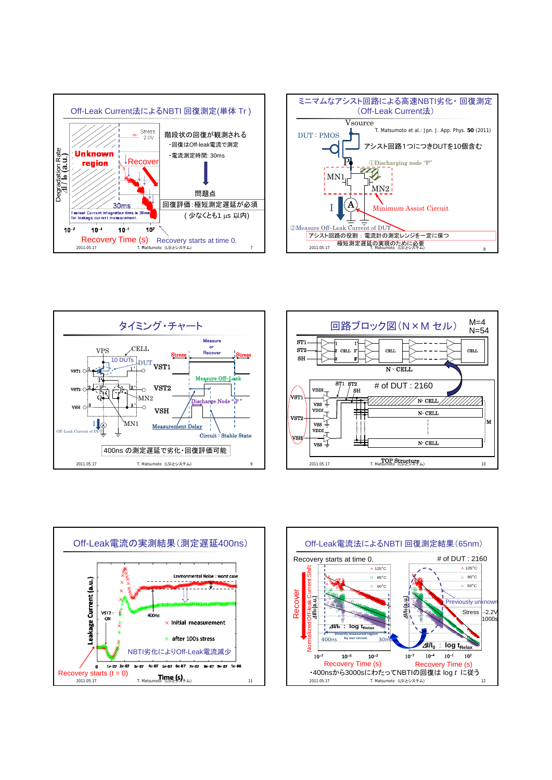